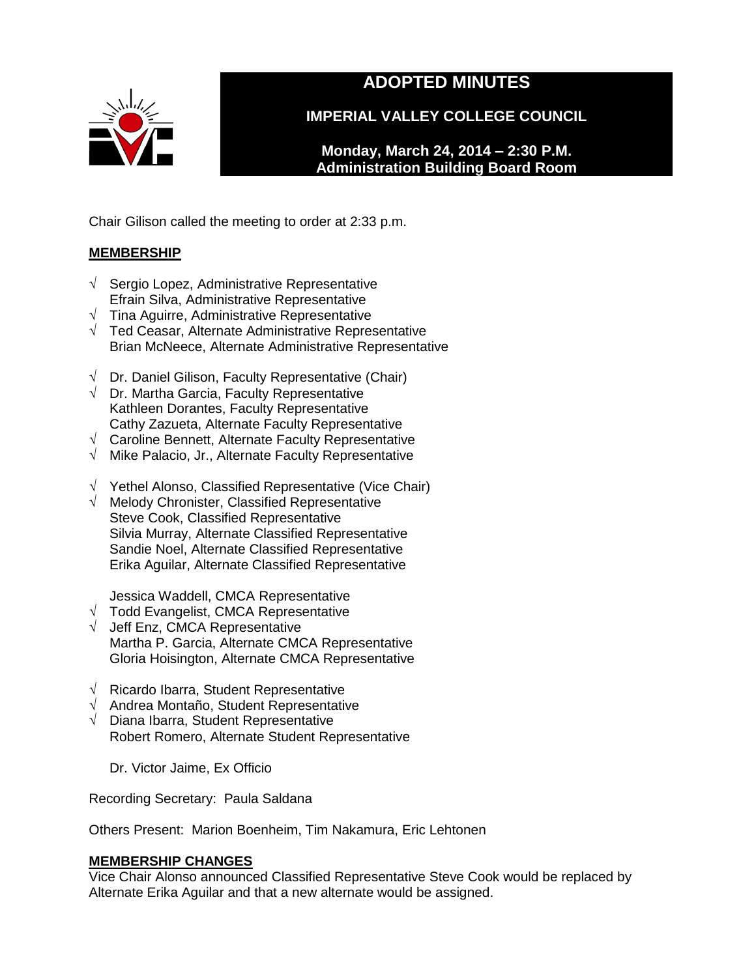

# **ADOPTED MINUTES**

**IMPERIAL VALLEY COLLEGE COUNCIL**

**Monday, March 24, 2014 – 2:30 P.M. Administration Building Board Room** 

Chair Gilison called the meeting to order at 2:33 p.m.

## **MEMBERSHIP**

- √ Sergio Lopez, Administrative Representative Efrain Silva, Administrative Representative
- $\sqrt{\phantom{a}}$  Tina Aguirre, Administrative Representative
- √ Ted Ceasar, Alternate Administrative Representative Brian McNeece, Alternate Administrative Representative
- $\sqrt{ }$  Dr. Daniel Gilison, Faculty Representative (Chair)
- $\sqrt{ }$  Dr. Martha Garcia, Faculty Representative Kathleen Dorantes, Faculty Representative Cathy Zazueta, Alternate Faculty Representative
- √ Caroline Bennett, Alternate Faculty Representative
- √ Mike Palacio, Jr., Alternate Faculty Representative
- √ Yethel Alonso, Classified Representative (Vice Chair)
- √ Melody Chronister, Classified Representative Steve Cook, Classified Representative Silvia Murray, Alternate Classified Representative Sandie Noel, Alternate Classified Representative Erika Aguilar, Alternate Classified Representative

Jessica Waddell, CMCA Representative

- √ Todd Evangelist, CMCA Representative
- √ Jeff Enz, CMCA Representative Martha P. Garcia, Alternate CMCA Representative Gloria Hoisington, Alternate CMCA Representative
- √ Ricardo Ibarra, Student Representative
- √ Andrea Montaño, Student Representative
- $\sqrt{\phantom{a}}$  Diana Ibarra, Student Representative Robert Romero, Alternate Student Representative

Dr. Victor Jaime, Ex Officio

Recording Secretary: Paula Saldana

Others Present: Marion Boenheim, Tim Nakamura, Eric Lehtonen

## **MEMBERSHIP CHANGES**

Vice Chair Alonso announced Classified Representative Steve Cook would be replaced by Alternate Erika Aguilar and that a new alternate would be assigned.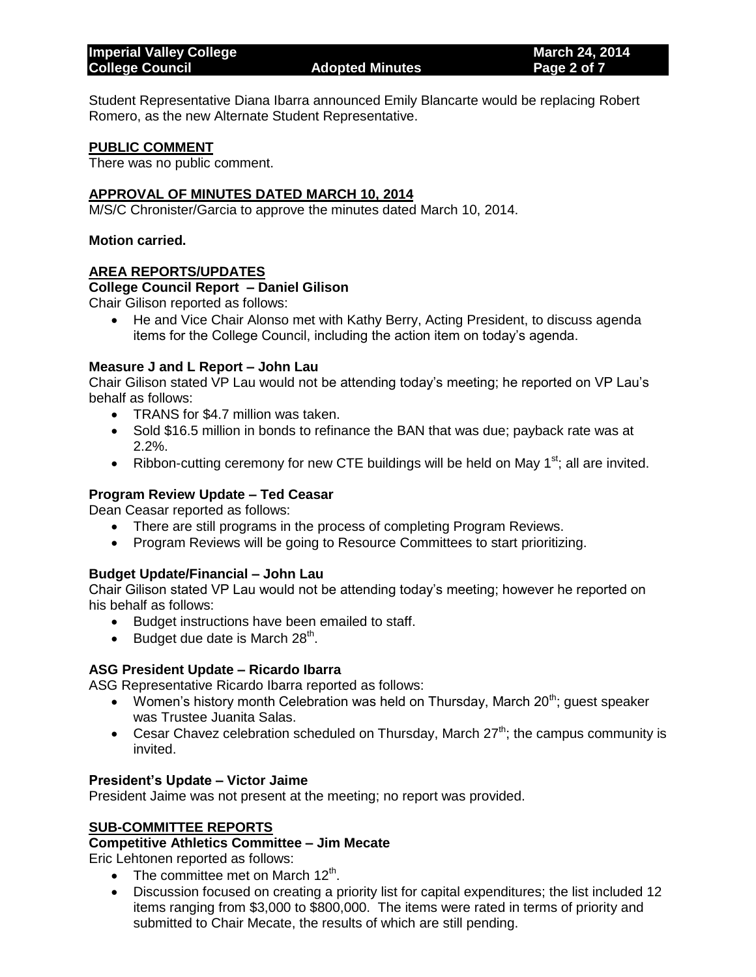Student Representative Diana Ibarra announced Emily Blancarte would be replacing Robert Romero, as the new Alternate Student Representative.

#### **PUBLIC COMMENT**

There was no public comment.

#### **APPROVAL OF MINUTES DATED MARCH 10, 2014**

M/S/C Chronister/Garcia to approve the minutes dated March 10, 2014.

#### **Motion carried.**

#### **AREA REPORTS/UPDATES**

#### **College Council Report – Daniel Gilison**

Chair Gilison reported as follows:

 He and Vice Chair Alonso met with Kathy Berry, Acting President, to discuss agenda items for the College Council, including the action item on today's agenda.

#### **Measure J and L Report – John Lau**

Chair Gilison stated VP Lau would not be attending today's meeting; he reported on VP Lau's behalf as follows:

- TRANS for \$4.7 million was taken.
- Sold \$16.5 million in bonds to refinance the BAN that was due; payback rate was at 2.2%.
- Ribbon-cutting ceremony for new CTE buildings will be held on May  $1<sup>st</sup>$ ; all are invited.

#### **Program Review Update – Ted Ceasar**

Dean Ceasar reported as follows:

- There are still programs in the process of completing Program Reviews.
- Program Reviews will be going to Resource Committees to start prioritizing.

#### **Budget Update/Financial – John Lau**

Chair Gilison stated VP Lau would not be attending today's meeting; however he reported on his behalf as follows:

- Budget instructions have been emailed to staff.
- Budget due date is March  $28<sup>th</sup>$ .

#### **ASG President Update – Ricardo Ibarra**

ASG Representative Ricardo Ibarra reported as follows:

- Women's history month Celebration was held on Thursday, March  $20^{th}$ ; guest speaker was Trustee Juanita Salas.
- Cesar Chavez celebration scheduled on Thursday, March  $27^{th}$ ; the campus community is invited.

#### **President's Update – Victor Jaime**

President Jaime was not present at the meeting; no report was provided.

#### **SUB-COMMITTEE REPORTS**

#### **Competitive Athletics Committee – Jim Mecate**

Eric Lehtonen reported as follows:

- The committee met on March  $12<sup>th</sup>$ .
- Discussion focused on creating a priority list for capital expenditures; the list included 12 items ranging from \$3,000 to \$800,000. The items were rated in terms of priority and submitted to Chair Mecate, the results of which are still pending.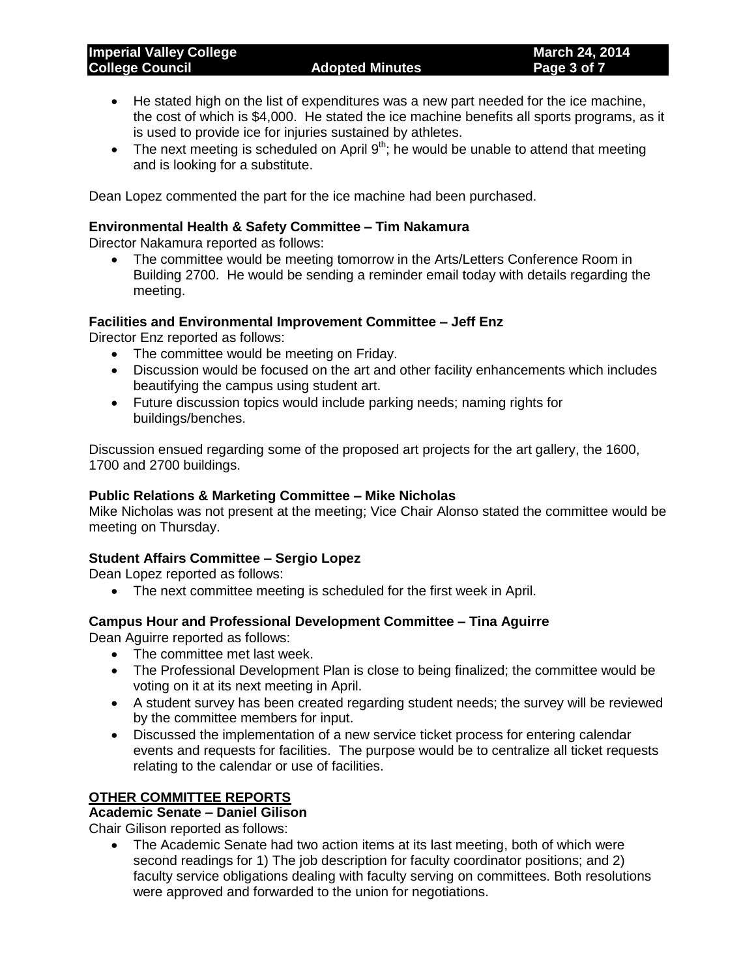- He stated high on the list of expenditures was a new part needed for the ice machine, the cost of which is \$4,000. He stated the ice machine benefits all sports programs, as it is used to provide ice for injuries sustained by athletes.
- The next meeting is scheduled on April  $9<sup>th</sup>$ ; he would be unable to attend that meeting and is looking for a substitute.

Dean Lopez commented the part for the ice machine had been purchased.

#### **Environmental Health & Safety Committee – Tim Nakamura**

Director Nakamura reported as follows:

 The committee would be meeting tomorrow in the Arts/Letters Conference Room in Building 2700. He would be sending a reminder email today with details regarding the meeting.

#### **Facilities and Environmental Improvement Committee – Jeff Enz**

Director Enz reported as follows:

- The committee would be meeting on Friday.
- Discussion would be focused on the art and other facility enhancements which includes beautifying the campus using student art.
- Future discussion topics would include parking needs; naming rights for buildings/benches.

Discussion ensued regarding some of the proposed art projects for the art gallery, the 1600, 1700 and 2700 buildings.

#### **Public Relations & Marketing Committee – Mike Nicholas**

Mike Nicholas was not present at the meeting; Vice Chair Alonso stated the committee would be meeting on Thursday.

### **Student Affairs Committee – Sergio Lopez**

Dean Lopez reported as follows:

The next committee meeting is scheduled for the first week in April.

#### **Campus Hour and Professional Development Committee – Tina Aguirre**

Dean Aguirre reported as follows:

- The committee met last week.
- The Professional Development Plan is close to being finalized; the committee would be voting on it at its next meeting in April.
- A student survey has been created regarding student needs; the survey will be reviewed by the committee members for input.
- Discussed the implementation of a new service ticket process for entering calendar events and requests for facilities. The purpose would be to centralize all ticket requests relating to the calendar or use of facilities.

### **OTHER COMMITTEE REPORTS**

**Academic Senate – Daniel Gilison**

Chair Gilison reported as follows:

 The Academic Senate had two action items at its last meeting, both of which were second readings for 1) The job description for faculty coordinator positions; and 2) faculty service obligations dealing with faculty serving on committees. Both resolutions were approved and forwarded to the union for negotiations.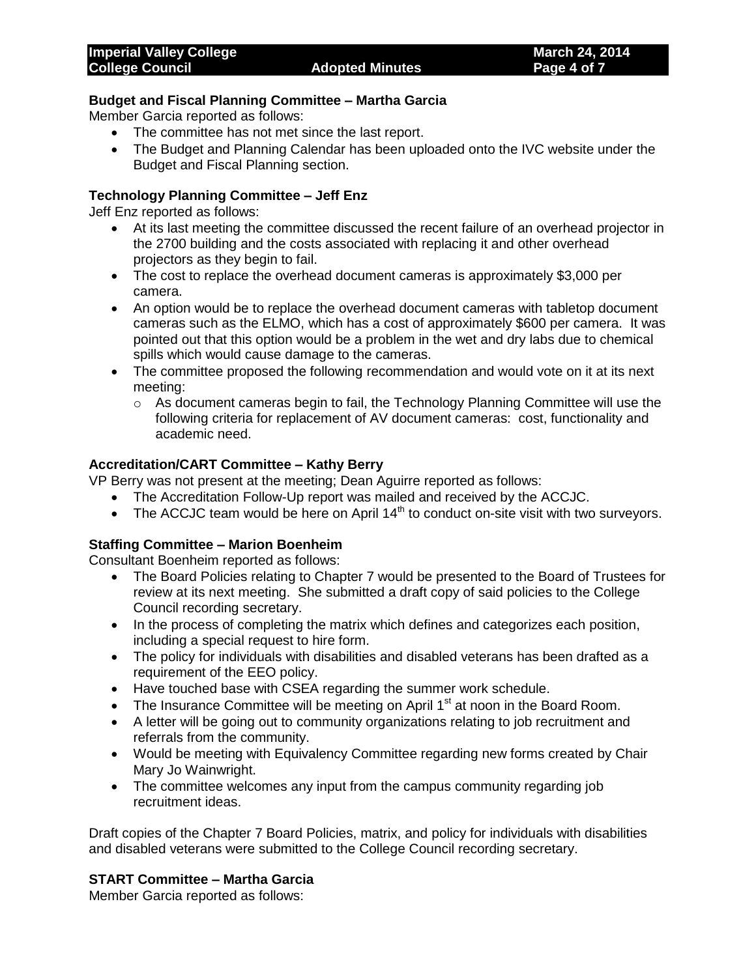#### **Budget and Fiscal Planning Committee – Martha Garcia**

Member Garcia reported as follows:

- The committee has not met since the last report.
- The Budget and Planning Calendar has been uploaded onto the IVC website under the Budget and Fiscal Planning section.

### **Technology Planning Committee – Jeff Enz**

Jeff Enz reported as follows:

- At its last meeting the committee discussed the recent failure of an overhead projector in the 2700 building and the costs associated with replacing it and other overhead projectors as they begin to fail.
- The cost to replace the overhead document cameras is approximately \$3,000 per camera.
- An option would be to replace the overhead document cameras with tabletop document cameras such as the ELMO, which has a cost of approximately \$600 per camera. It was pointed out that this option would be a problem in the wet and dry labs due to chemical spills which would cause damage to the cameras.
- The committee proposed the following recommendation and would vote on it at its next meeting:
	- $\circ$  As document cameras begin to fail, the Technology Planning Committee will use the following criteria for replacement of AV document cameras: cost, functionality and academic need.

### **Accreditation/CART Committee – Kathy Berry**

VP Berry was not present at the meeting; Dean Aguirre reported as follows:

- The Accreditation Follow-Up report was mailed and received by the ACCJC.
- The ACCJC team would be here on April  $14<sup>th</sup>$  to conduct on-site visit with two surveyors.

### **Staffing Committee – Marion Boenheim**

Consultant Boenheim reported as follows:

- The Board Policies relating to Chapter 7 would be presented to the Board of Trustees for review at its next meeting. She submitted a draft copy of said policies to the College Council recording secretary.
- In the process of completing the matrix which defines and categorizes each position, including a special request to hire form.
- The policy for individuals with disabilities and disabled veterans has been drafted as a requirement of the EEO policy.
- Have touched base with CSEA regarding the summer work schedule.
- The Insurance Committee will be meeting on April  $1<sup>st</sup>$  at noon in the Board Room.
- A letter will be going out to community organizations relating to job recruitment and referrals from the community.
- Would be meeting with Equivalency Committee regarding new forms created by Chair Mary Jo Wainwright.
- The committee welcomes any input from the campus community regarding job recruitment ideas.

Draft copies of the Chapter 7 Board Policies, matrix, and policy for individuals with disabilities and disabled veterans were submitted to the College Council recording secretary.

### **START Committee – Martha Garcia**

Member Garcia reported as follows: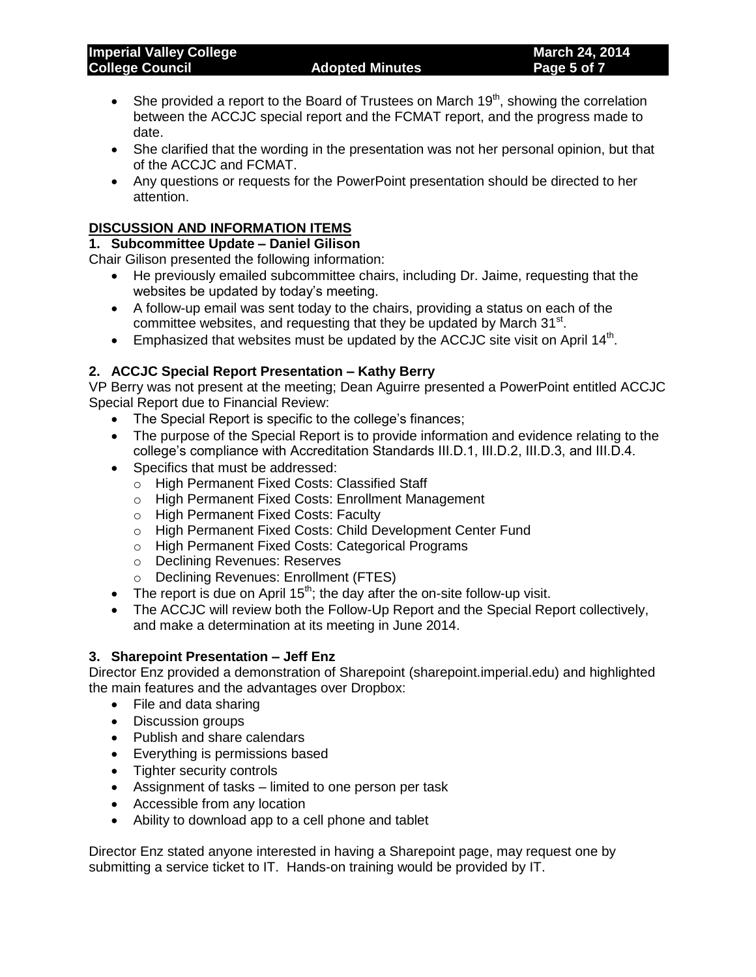- She provided a report to the Board of Trustees on March 19<sup>th</sup>, showing the correlation between the ACCJC special report and the FCMAT report, and the progress made to date.
- She clarified that the wording in the presentation was not her personal opinion, but that of the ACCJC and FCMAT.
- Any questions or requests for the PowerPoint presentation should be directed to her attention.

## **DISCUSSION AND INFORMATION ITEMS**

## **1. Subcommittee Update – Daniel Gilison**

Chair Gilison presented the following information:

- He previously emailed subcommittee chairs, including Dr. Jaime, requesting that the websites be updated by today's meeting.
- A follow-up email was sent today to the chairs, providing a status on each of the committee websites, and requesting that they be updated by March  $31<sup>st</sup>$ .
- $\bullet$  Emphasized that websites must be updated by the ACCJC site visit on April 14<sup>th</sup>.

## **2. ACCJC Special Report Presentation – Kathy Berry**

VP Berry was not present at the meeting; Dean Aguirre presented a PowerPoint entitled ACCJC Special Report due to Financial Review:

- The Special Report is specific to the college's finances;
- The purpose of the Special Report is to provide information and evidence relating to the college's compliance with Accreditation Standards III.D.1, III.D.2, III.D.3, and III.D.4.
- Specifics that must be addressed:
	- o High Permanent Fixed Costs: Classified Staff
	- o High Permanent Fixed Costs: Enrollment Management
	- o High Permanent Fixed Costs: Faculty
	- o High Permanent Fixed Costs: Child Development Center Fund
	- o High Permanent Fixed Costs: Categorical Programs
	- o Declining Revenues: Reserves
	- o Declining Revenues: Enrollment (FTES)
- The report is due on April  $15<sup>th</sup>$ ; the day after the on-site follow-up visit.
- The ACCJC will review both the Follow-Up Report and the Special Report collectively, and make a determination at its meeting in June 2014.

### **3. Sharepoint Presentation – Jeff Enz**

Director Enz provided a demonstration of Sharepoint (sharepoint.imperial.edu) and highlighted the main features and the advantages over Dropbox:

- File and data sharing
- Discussion groups
- Publish and share calendars
- Everything is permissions based
- Tighter security controls
- Assignment of tasks limited to one person per task
- Accessible from any location
- Ability to download app to a cell phone and tablet

Director Enz stated anyone interested in having a Sharepoint page, may request one by submitting a service ticket to IT. Hands-on training would be provided by IT.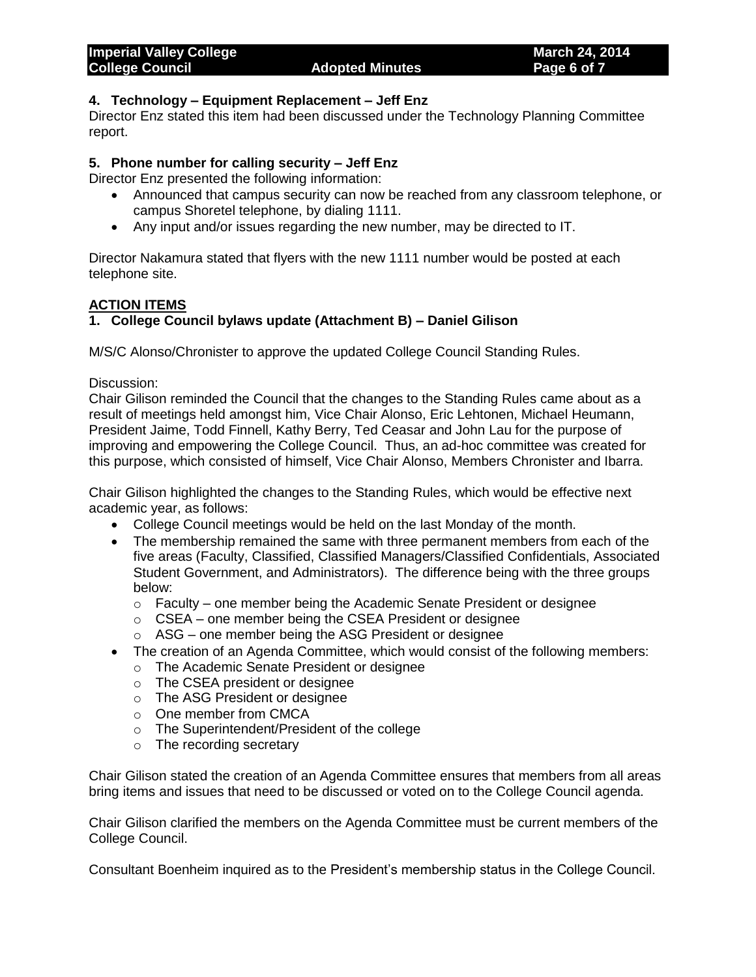#### **4. Technology – Equipment Replacement – Jeff Enz**

Director Enz stated this item had been discussed under the Technology Planning Committee report.

## **5. Phone number for calling security – Jeff Enz**

Director Enz presented the following information:

- Announced that campus security can now be reached from any classroom telephone, or campus Shoretel telephone, by dialing 1111.
- Any input and/or issues regarding the new number, may be directed to IT.

Director Nakamura stated that flyers with the new 1111 number would be posted at each telephone site.

## **ACTION ITEMS**

## **1. College Council bylaws update (Attachment B) – Daniel Gilison**

M/S/C Alonso/Chronister to approve the updated College Council Standing Rules.

Discussion:

Chair Gilison reminded the Council that the changes to the Standing Rules came about as a result of meetings held amongst him, Vice Chair Alonso, Eric Lehtonen, Michael Heumann, President Jaime, Todd Finnell, Kathy Berry, Ted Ceasar and John Lau for the purpose of improving and empowering the College Council. Thus, an ad-hoc committee was created for this purpose, which consisted of himself, Vice Chair Alonso, Members Chronister and Ibarra.

Chair Gilison highlighted the changes to the Standing Rules, which would be effective next academic year, as follows:

- College Council meetings would be held on the last Monday of the month.
- The membership remained the same with three permanent members from each of the five areas (Faculty, Classified, Classified Managers/Classified Confidentials, Associated Student Government, and Administrators). The difference being with the three groups below:
	- o Faculty one member being the Academic Senate President or designee
	- o CSEA one member being the CSEA President or designee
	- o ASG one member being the ASG President or designee
- The creation of an Agenda Committee, which would consist of the following members:
	- o The Academic Senate President or designee
	- o The CSEA president or designee
	- o The ASG President or designee
	- o One member from CMCA
	- o The Superintendent/President of the college
	- o The recording secretary

Chair Gilison stated the creation of an Agenda Committee ensures that members from all areas bring items and issues that need to be discussed or voted on to the College Council agenda.

Chair Gilison clarified the members on the Agenda Committee must be current members of the College Council.

Consultant Boenheim inquired as to the President's membership status in the College Council.